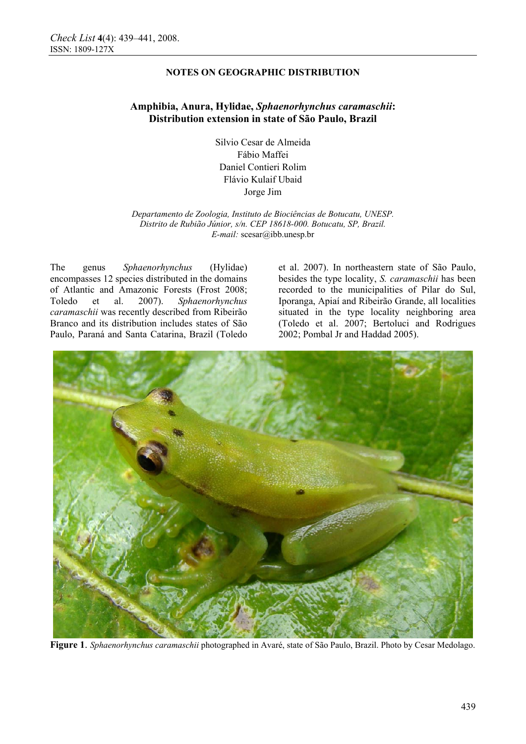## **NOTES ON GEOGRAPHIC DISTRIBUTION**

# **Amphibia, Anura, Hylidae,** *Sphaenorhynchus caramaschii***: Distribution extension in state of São Paulo, Brazil**

Silvio Cesar de Almeida Fábio Maffei Daniel Contieri Rolim Flávio Kulaif Ubaid Jorge Jim

*Departamento de Zoologia, Instituto de Biociências de Botucatu, UNESP. Distrito de Rubião Júnior, s/n. CEP 18618-000. Botucatu, SP, Brazil. E-mail:* scesar@ibb.unesp.br

The genus *Sphaenorhynchus* (Hylidae) encompasses 12 species distributed in the domains of Atlantic and Amazonic Forests (Frost 2008; Toledo et al. 2007). *Sphaenorhynchus caramaschii* was recently described from Ribeirão Branco and its distribution includes states of São Paulo, Paraná and Santa Catarina, Brazil (Toledo

et al. 2007). In northeastern state of São Paulo, besides the type locality, *S. caramaschii* has been recorded to the municipalities of Pilar do Sul, Iporanga, Apiaí and Ribeirão Grande, all localities situated in the type locality neighboring area (Toledo et al. 2007; Bertoluci and Rodrigues 2002; Pombal Jr and Haddad 2005).



**Figure 1**. *Sphaenorhynchus caramaschii* photographed in Avaré, state of São Paulo, Brazil. Photo by Cesar Medolago.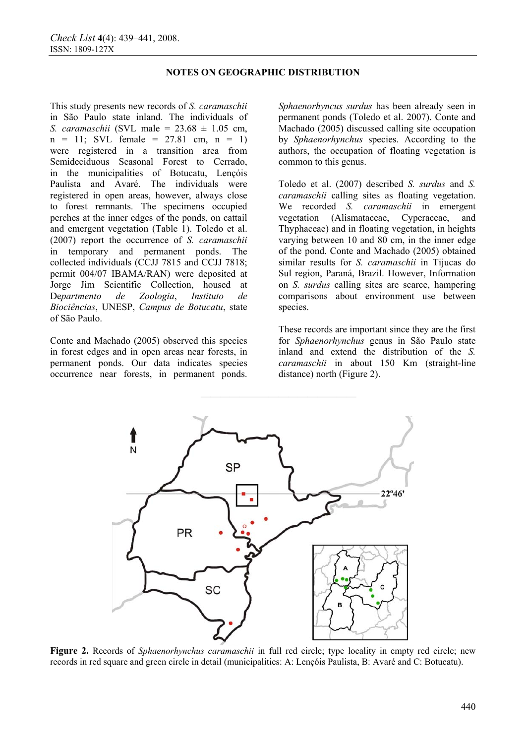### **NOTES ON GEOGRAPHIC DISTRIBUTION**

This study presents new records of *S. caramaschii*  in São Paulo state inland. The individuals of *S. caramaschii* (SVL male = 23.68 ± 1.05 cm,  $n = 11$ ; SVL female = 27.81 cm,  $n = 1$ ) were registered in a transition area from Semideciduous Seasonal Forest to Cerrado, in the municipalities of Botucatu, Lençóis Paulista and Avaré. The individuals were registered in open areas, however, always close to forest remnants. The specimens occupied perches at the inner edges of the ponds, on cattail and emergent vegetation (Table 1). Toledo et al. (2007) report the occurrence of *S. caramaschii* in temporary and permanent ponds. The collected individuals (CCJJ 7815 and CCJJ 7818; permit 004/07 IBAMA/RAN) were deposited at Jorge Jim Scientific Collection, housed at De*partmento de Zoologia*, *Instituto de Biociências*, UNESP, *Campus de Botucatu*, state of São Paulo.

Conte and Machado (2005) observed this species in forest edges and in open areas near forests, in permanent ponds. Our data indicates species occurrence near forests, in permanent ponds. *Sphaenorhyncus surdus* has been already seen in permanent ponds (Toledo et al. 2007). Conte and Machado (2005) discussed calling site occupation by *Sphaenorhynchus* species. According to the authors, the occupation of floating vegetation is common to this genus.

Toledo et al. (2007) described *S. surdus* and *S. caramaschii* calling sites as floating vegetation. We recorded *S. caramaschii* in emergent vegetation (Alismataceae, Cyperaceae, and Thyphaceae) and in floating vegetation, in heights varying between 10 and 80 cm, in the inner edge of the pond. Conte and Machado (2005) obtained similar results for *S. caramaschii* in Tijucas do Sul region, Paraná, Brazil. However, Information on *S. surdus* calling sites are scarce, hampering comparisons about environment use between species.

These records are important since they are the first for *Sphaenorhynchus* genus in São Paulo state inland and extend the distribution of the *S. caramaschii* in about 150 Km (straight-line distance) north (Figure 2).



**Figure 2.** Records of *Sphaenorhynchus caramaschii* in full red circle; type locality in empty red circle; new records in red square and green circle in detail (municipalities: A: Lençóis Paulista, B: Avaré and C: Botucatu).